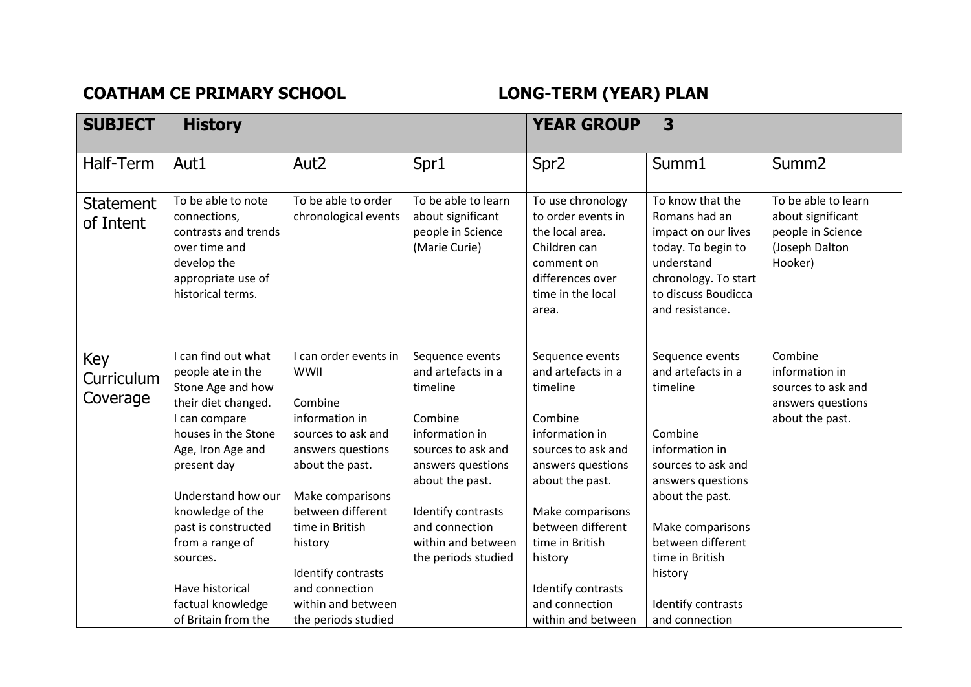## COATHAM CE PRIMARY SCHOOL **LONG-TERM** (YEAR) PLAN

| <b>SUBJECT</b>                | <b>History</b>                                                                                                                                                                                                                                                                                           |                                                                                                                                                                                                                                                               |                                                                                                                                                                                                                                   | <b>YEAR GROUP</b><br>3                                                                                                                                                                                                                                      |                                                                                                                                                                                                                                           |                                                                                            |  |
|-------------------------------|----------------------------------------------------------------------------------------------------------------------------------------------------------------------------------------------------------------------------------------------------------------------------------------------------------|---------------------------------------------------------------------------------------------------------------------------------------------------------------------------------------------------------------------------------------------------------------|-----------------------------------------------------------------------------------------------------------------------------------------------------------------------------------------------------------------------------------|-------------------------------------------------------------------------------------------------------------------------------------------------------------------------------------------------------------------------------------------------------------|-------------------------------------------------------------------------------------------------------------------------------------------------------------------------------------------------------------------------------------------|--------------------------------------------------------------------------------------------|--|
| Half-Term                     | Aut1                                                                                                                                                                                                                                                                                                     | Aut <sub>2</sub>                                                                                                                                                                                                                                              | Spr1                                                                                                                                                                                                                              | Spr <sub>2</sub>                                                                                                                                                                                                                                            | Summ1                                                                                                                                                                                                                                     | Summ <sub>2</sub>                                                                          |  |
| <b>Statement</b><br>of Intent | To be able to note<br>connections,<br>contrasts and trends<br>over time and<br>develop the<br>appropriate use of<br>historical terms.                                                                                                                                                                    | To be able to order<br>chronological events                                                                                                                                                                                                                   | To be able to learn<br>about significant<br>people in Science<br>(Marie Curie)                                                                                                                                                    | To use chronology<br>to order events in<br>the local area.<br>Children can<br>comment on<br>differences over<br>time in the local<br>area.                                                                                                                  | To know that the<br>Romans had an<br>impact on our lives<br>today. To begin to<br>understand<br>chronology. To start<br>to discuss Boudicca<br>and resistance.                                                                            | To be able to learn<br>about significant<br>people in Science<br>(Joseph Dalton<br>Hooker) |  |
| Key<br>Curriculum<br>Coverage | I can find out what<br>people ate in the<br>Stone Age and how<br>their diet changed.<br>I can compare<br>houses in the Stone<br>Age, Iron Age and<br>present day<br>Understand how our<br>knowledge of the<br>past is constructed<br>from a range of<br>sources.<br>Have historical<br>factual knowledge | I can order events in<br>WWII<br>Combine<br>information in<br>sources to ask and<br>answers questions<br>about the past.<br>Make comparisons<br>between different<br>time in British<br>history<br>Identify contrasts<br>and connection<br>within and between | Sequence events<br>and artefacts in a<br>timeline<br>Combine<br>information in<br>sources to ask and<br>answers questions<br>about the past.<br>Identify contrasts<br>and connection<br>within and between<br>the periods studied | Sequence events<br>and artefacts in a<br>timeline<br>Combine<br>information in<br>sources to ask and<br>answers questions<br>about the past.<br>Make comparisons<br>between different<br>time in British<br>history<br>Identify contrasts<br>and connection | Sequence events<br>and artefacts in a<br>timeline<br>Combine<br>information in<br>sources to ask and<br>answers questions<br>about the past.<br>Make comparisons<br>between different<br>time in British<br>history<br>Identify contrasts | Combine<br>information in<br>sources to ask and<br>answers questions<br>about the past.    |  |